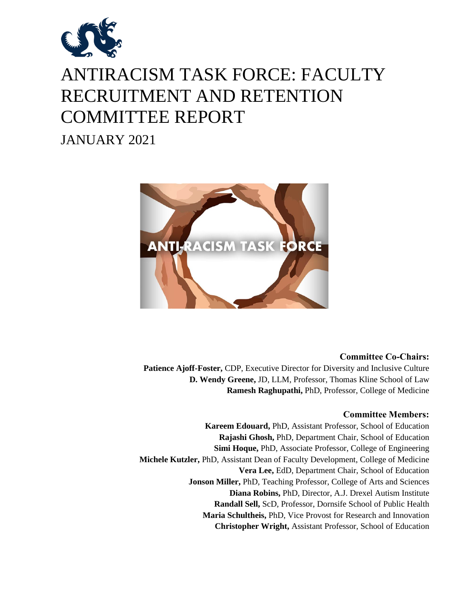

# ANTIRACISM TASK FORCE: FACULTY RECRUITMENT AND RETENTION COMMITTEE REPORT

JANUARY 2021



# **Committee Co-Chairs:**

**Patience Ajoff-Foster,** CDP, Executive Director for Diversity and Inclusive Culture **D. Wendy Greene,** JD, LLM, Professor, Thomas Kline School of Law **Ramesh Raghupathi,** PhD, Professor, College of Medicine

# **Committee Members:**

**Kareem Edouard,** PhD, Assistant Professor, School of Education **Rajashi Ghosh,** PhD, Department Chair, School of Education **Simi Hoque,** PhD, Associate Professor, College of Engineering **Michele Kutzler,** PhD, Assistant Dean of Faculty Development, College of Medicine **Vera Lee,** EdD, Department Chair, School of Education **Jonson Miller,** PhD, Teaching Professor, College of Arts and Sciences **Diana Robins,** PhD, Director, A.J. Drexel Autism Institute **Randall Sell,** ScD, Professor, Dornsife School of Public Health **Maria Schultheis,** PhD, Vice Provost for Research and Innovation **Christopher Wright,** Assistant Professor, School of Education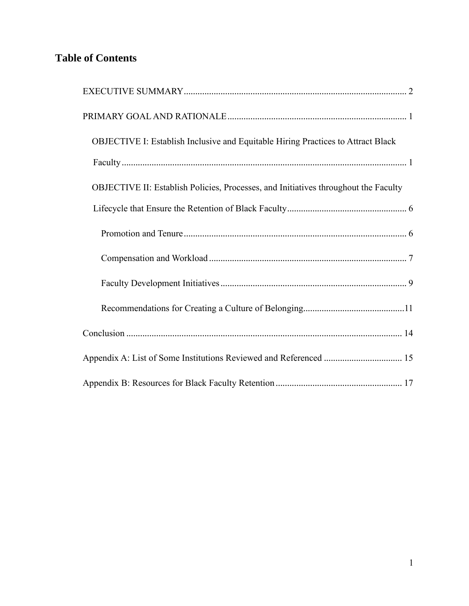# **Table of Contents**

| OBJECTIVE I: Establish Inclusive and Equitable Hiring Practices to Attract Black    |
|-------------------------------------------------------------------------------------|
|                                                                                     |
| OBJECTIVE II: Establish Policies, Processes, and Initiatives throughout the Faculty |
|                                                                                     |
|                                                                                     |
|                                                                                     |
|                                                                                     |
|                                                                                     |
|                                                                                     |
| Appendix A: List of Some Institutions Reviewed and Referenced  15                   |
|                                                                                     |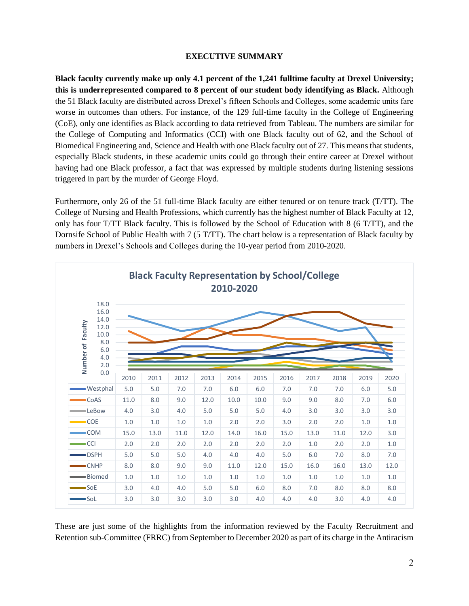#### **EXECUTIVE SUMMARY**

<span id="page-2-0"></span>**Black faculty currently make up only 4.1 percent of the 1,241 fulltime faculty at Drexel University; this is underrepresented compared to 8 percent of our student body identifying as Black.** Although the 51 Black faculty are distributed across Drexel's fifteen Schools and Colleges, some academic units fare worse in outcomes than others. For instance, of the 129 full-time faculty in the College of Engineering (CoE), only one identifies as Black according to data retrieved from Tableau. The numbers are similar for the College of Computing and Informatics (CCI) with one Black faculty out of 62, and the School of Biomedical Engineering and, Science and Health with one Black faculty out of 27. This means that students, especially Black students, in these academic units could go through their entire career at Drexel without having had one Black professor, a fact that was expressed by multiple students during listening sessions triggered in part by the murder of George Floyd.

Furthermore, only 26 of the 51 full-time Black faculty are either tenured or on tenure track (T/TT). The College of Nursing and Health Professions, which currently has the highest number of Black Faculty at 12, only has four T/TT Black faculty. This is followed by the School of Education with 8 (6 T/TT), and the Dornsife School of Public Health with 7 (5 T/TT). The chart below is a representation of Black faculty by numbers in Drexel's Schools and Colleges during the 10-year period from 2010-2020.



These are just some of the highlights from the information reviewed by the Faculty Recruitment and Retention sub-Committee (FRRC) from September to December 2020 as part of its charge in the Antiracism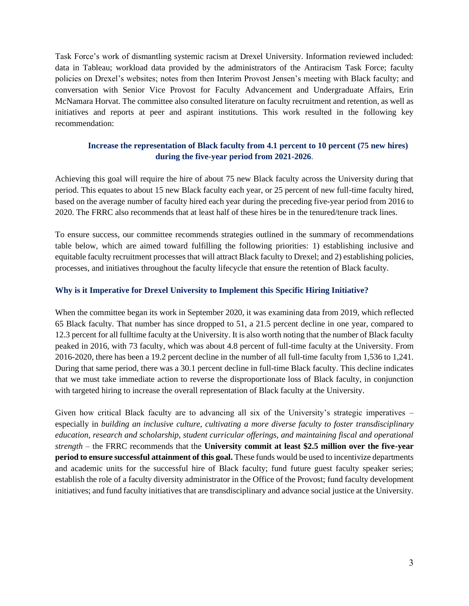Task Force's work of dismantling systemic racism at Drexel University. Information reviewed included: data in Tableau; workload data provided by the administrators of the Antiracism Task Force; faculty policies on Drexel's websites; notes from then Interim Provost Jensen's meeting with Black faculty; and conversation with Senior Vice Provost for Faculty Advancement and Undergraduate Affairs, Erin McNamara Horvat. The committee also consulted literature on faculty recruitment and retention, as well as initiatives and reports at peer and aspirant institutions. This work resulted in the following key recommendation:

# **Increase the representation of Black faculty from 4.1 percent to 10 percent (75 new hires) during the five-year period from 2021-2026**.

Achieving this goal will require the hire of about 75 new Black faculty across the University during that period. This equates to about 15 new Black faculty each year, or 25 percent of new full-time faculty hired, based on the average number of faculty hired each year during the preceding five-year period from 2016 to 2020. The FRRC also recommends that at least half of these hires be in the tenured/tenure track lines.

To ensure success, our committee recommends strategies outlined in the summary of recommendations table below, which are aimed toward fulfilling the following priorities: 1) establishing inclusive and equitable faculty recruitment processes that will attract Black faculty to Drexel; and 2) establishing policies, processes, and initiatives throughout the faculty lifecycle that ensure the retention of Black faculty.

# **Why is it Imperative for Drexel University to Implement this Specific Hiring Initiative?**

When the committee began its work in September 2020, it was examining data from 2019, which reflected 65 Black faculty. That number has since dropped to 51, a 21.5 percent decline in one year, compared to 12.3 percent for all fulltime faculty at the University. It is also worth noting that the number of Black faculty peaked in 2016, with 73 faculty, which was about 4.8 percent of full-time faculty at the University. From 2016-2020, there has been a 19.2 percent decline in the number of all full-time faculty from 1,536 to 1,241. During that same period, there was a 30.1 percent decline in full-time Black faculty. This decline indicates that we must take immediate action to reverse the disproportionate loss of Black faculty, in conjunction with targeted hiring to increase the overall representation of Black faculty at the University.

Given how critical Black faculty are to advancing all six of the University's strategic imperatives – especially in *building an inclusive culture, cultivating a more diverse faculty to foster transdisciplinary education, research and scholarship, student curricular offerings, and maintaining fiscal and operational strength –* the FRRC recommends that the **University commit at least \$2.5 million over the five-year period to ensure successful attainment of this goal.** These funds would be used to incentivize departments and academic units for the successful hire of Black faculty; fund future guest faculty speaker series; establish the role of a faculty diversity administrator in the Office of the Provost; fund faculty development initiatives; and fund faculty initiatives that are transdisciplinary and advance social justice at the University.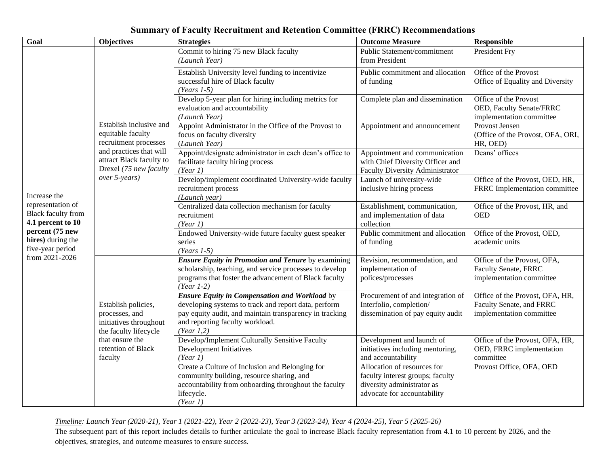| <b>Summary of Faculty Recruitment and Retention Committee (FRRC) Recommendations</b> |  |  |
|--------------------------------------------------------------------------------------|--|--|
|--------------------------------------------------------------------------------------|--|--|

| Goal                                                                                                                                                              | <b>Objectives</b>                                                                                                                                                       | <b>Strategies</b>                                                                                                                                                                                                        | <b>Outcome Measure</b>                                                                                                       | <b>Responsible</b>                                                                      |
|-------------------------------------------------------------------------------------------------------------------------------------------------------------------|-------------------------------------------------------------------------------------------------------------------------------------------------------------------------|--------------------------------------------------------------------------------------------------------------------------------------------------------------------------------------------------------------------------|------------------------------------------------------------------------------------------------------------------------------|-----------------------------------------------------------------------------------------|
| Increase the<br>representation of<br><b>Black faculty from</b><br>4.1 percent to 10<br>percent (75 new<br>hires) during the<br>five-year period<br>from 2021-2026 | Establish inclusive and<br>equitable faculty<br>recruitment processes<br>and practices that will<br>attract Black faculty to<br>Drexel (75 new faculty<br>over 5-years) | Commit to hiring 75 new Black faculty<br>(Launch Year)                                                                                                                                                                   | Public Statement/commitment<br>from President                                                                                | President Fry                                                                           |
|                                                                                                                                                                   |                                                                                                                                                                         | Establish University level funding to incentivize<br>successful hire of Black faculty<br>$(Years 1-5)$                                                                                                                   | Public commitment and allocation<br>of funding                                                                               | Office of the Provost<br>Office of Equality and Diversity                               |
|                                                                                                                                                                   |                                                                                                                                                                         | Develop 5-year plan for hiring including metrics for<br>evaluation and accountability<br>(Launch Year)                                                                                                                   | Complete plan and dissemination                                                                                              | Office of the Provost<br>OED, Faculty Senate/FRRC<br>implementation committee           |
|                                                                                                                                                                   |                                                                                                                                                                         | Appoint Administrator in the Office of the Provost to<br>focus on faculty diversity<br>(Launch Year)                                                                                                                     | Appointment and announcement                                                                                                 | Provost Jensen<br>(Office of the Provost, OFA, ORI,<br>HR, OED)                         |
|                                                                                                                                                                   |                                                                                                                                                                         | Appoint/designate administrator in each dean's office to<br>facilitate faculty hiring process<br>(Year 1)                                                                                                                | Appointment and communication<br>with Chief Diversity Officer and<br>Faculty Diversity Administrator                         | Deans' offices                                                                          |
|                                                                                                                                                                   |                                                                                                                                                                         | Develop/implement coordinated University-wide faculty<br>recruitment process<br>(Launch year)                                                                                                                            | Launch of university-wide<br>inclusive hiring process                                                                        | Office of the Provost, OED, HR,<br>FRRC Implementation committee                        |
|                                                                                                                                                                   |                                                                                                                                                                         | Centralized data collection mechanism for faculty<br>recruitment<br>(Year 1)                                                                                                                                             | Establishment, communication,<br>and implementation of data<br>collection                                                    | Office of the Provost, HR, and<br><b>OED</b>                                            |
|                                                                                                                                                                   |                                                                                                                                                                         | Endowed University-wide future faculty guest speaker<br>series<br>$(Years 1-5)$                                                                                                                                          | Public commitment and allocation<br>of funding                                                                               | Office of the Provost, OED,<br>academic units                                           |
|                                                                                                                                                                   | Establish policies,<br>processes, and<br>initiatives throughout<br>the faculty lifecycle<br>that ensure the<br>retention of Black<br>faculty                            | <b>Ensure Equity in Promotion and Tenure by examining</b><br>scholarship, teaching, and service processes to develop<br>programs that foster the advancement of Black faculty<br>$(Year 1-2)$                            | Revision, recommendation, and<br>implementation of<br>polices/processes                                                      | Office of the Provost, OFA,<br><b>Faculty Senate, FRRC</b><br>implementation committee  |
|                                                                                                                                                                   |                                                                                                                                                                         | <b>Ensure Equity in Compensation and Workload by</b><br>developing systems to track and report data, perform<br>pay equity audit, and maintain transparency in tracking<br>and reporting faculty workload.<br>(Year 1,2) | Procurement of and integration of<br>Interfolio, completion/<br>dissemination of pay equity audit                            | Office of the Provost, OFA, HR,<br>Faculty Senate, and FRRC<br>implementation committee |
|                                                                                                                                                                   |                                                                                                                                                                         | Develop/Implement Culturally Sensitive Faculty<br>Development Initiatives<br>(Year 1)                                                                                                                                    | Development and launch of<br>initiatives including mentoring,<br>and accountability                                          | Office of the Provost, OFA, HR,<br>OED, FRRC implementation<br>committee                |
|                                                                                                                                                                   |                                                                                                                                                                         | Create a Culture of Inclusion and Belonging for<br>community building, resource sharing, and<br>accountability from onboarding throughout the faculty<br>lifecycle.<br>(Year 1)                                          | Allocation of resources for<br>faculty interest groups; faculty<br>diversity administrator as<br>advocate for accountability | Provost Office, OFA, OED                                                                |

*Timeline: Launch Year (2020-21), Year 1 (2021-22), Year 2 (2022-23), Year 3 (2023-24), Year 4 (2024-25), Year 5 (2025-26)*

The subsequent part of this report includes details to further articulate the goal to increase Black faculty representation from 4.1 to 10 percent by 2026, and the objectives, strategies, and outcome measures to ensure success.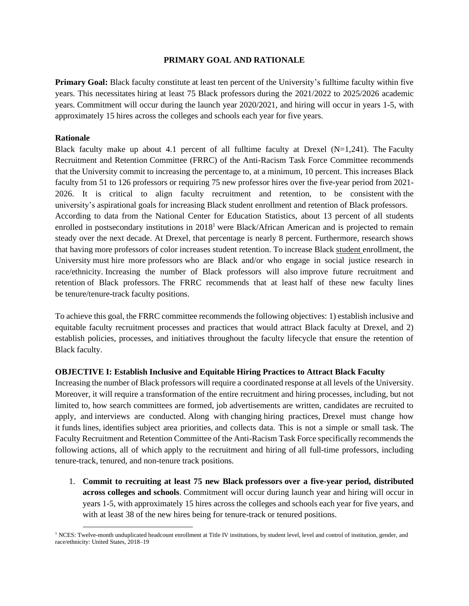#### **PRIMARY GOAL AND RATIONALE**

<span id="page-5-0"></span>**Primary Goal:** Black faculty constitute at least ten percent of the University's fulltime faculty within five years. This necessitates hiring at least 75 Black professors during the 2021/2022 to 2025/2026 academic years. Commitment will occur during the launch year 2020/2021, and hiring will occur in years 1-5, with approximately 15 hires across the colleges and schools each year for five years.

#### **Rationale**

Black faculty make up about 4.1 percent of all fulltime faculty at Drexel  $(N=1,241)$ . The Faculty Recruitment and Retention Committee (FRRC) of the Anti-Racism Task Force Committee recommends that the University commit to increasing the percentage to, at a minimum, 10 percent. This increases Black faculty from 51 to 126 professors or requiring 75 new professor hires over the five-year period from 2021- 2026. It is critical to align faculty recruitment and retention, to be consistent with the university's aspirational goals for increasing Black student enrollment and retention of Black professors. According to data from the National Center for Education Statistics, about 13 percent of all students enrolled in postsecondary institutions in 2018<sup>1</sup> were Black/African American and is projected to remain steady over the next decade. At Drexel, that percentage is nearly 8 percent. Furthermore, research shows that having more professors of color increases student retention. To increase Black student enrollment, the University must hire more professors who are Black and/or who engage in social justice research in race/ethnicity. Increasing the number of Black professors will also improve future recruitment and retention of Black professors. The FRRC recommends that at least half of these new faculty lines be tenure/tenure-track faculty positions.

To achieve this goal, the FRRC committee recommends the following objectives: 1) establish inclusive and equitable faculty recruitment processes and practices that would attract Black faculty at Drexel, and 2) establish policies, processes, and initiatives throughout the faculty lifecycle that ensure the retention of Black faculty.

#### <span id="page-5-1"></span>**OBJECTIVE I: Establish Inclusive and Equitable Hiring Practices to Attract Black Faculty**

Increasing the number of Black professors will require a coordinated response at all levels of the University. Moreover, it will require a transformation of the entire recruitment and hiring processes, including, but not limited to, how search committees are formed, job advertisements are written, candidates are recruited to apply, and interviews are conducted. Along with changing hiring practices, Drexel must change how it funds lines, identifies subject area priorities, and collects data. This is not a simple or small task. The Faculty Recruitment and Retention Committee of the Anti-Racism Task Force specifically recommends the following actions, all of which apply to the recruitment and hiring of all full-time professors, including tenure-track, tenured, and non-tenure track positions.

1. **Commit to recruiting at least 75 new Black professors over a five-year period, distributed across colleges and schools**. Commitment will occur during launch year and hiring will occur in years 1-5, with approximately 15 hires across the colleges and schools each year for five years, and with at least 38 of the new hires being for tenure-track or tenured positions.

<sup>&</sup>lt;sup>1</sup> NCES: Twelve-month unduplicated headcount enrollment at Title IV institutions, by student level, level and control of institution, gender, and race/ethnicity: United States, 2018–19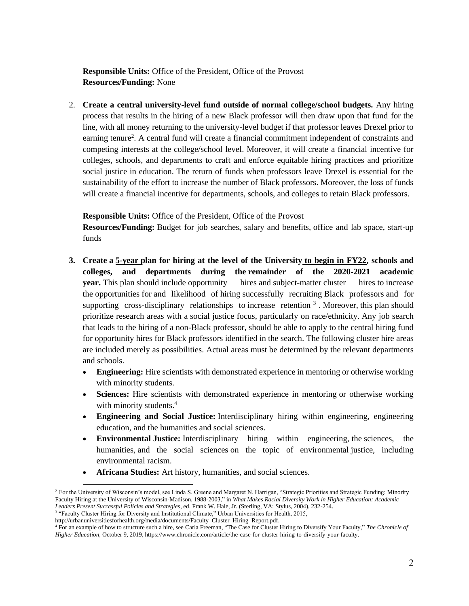**Responsible Units:** Office of the President, Office of the Provost **Resources/Funding:** None

2. **Create a central university-level fund outside of normal college/school budgets.** Any hiring process that results in the hiring of a new Black professor will then draw upon that fund for the line, with all money returning to the university-level budget if that professor leaves Drexel prior to earning tenure<sup>2</sup>. A central fund will create a financial commitment independent of constraints and competing interests at the college/school level. Moreover, it will create a financial incentive for colleges, schools, and departments to craft and enforce equitable hiring practices and prioritize social justice in education. The return of funds when professors leave Drexel is essential for the sustainability of the effort to increase the number of Black professors. Moreover, the loss of funds will create a financial incentive for departments, schools, and colleges to retain Black professors.

**Responsible Units:** Office of the President, Office of the Provost

**Resources/Funding:** Budget for job searches, salary and benefits, office and lab space, start-up funds

- **3. Create a 5-year plan for hiring at the level of the University to begin in FY22, schools and colleges, and departments during the remainder of the 2020-2021 academic year.** This plan should include opportunity hires and subject-matter cluster hires to increase the opportunities for and likelihood of hiring successfully recruiting Black professors and for supporting cross-disciplinary relationships to increase retention  $3$ . Moreover, this plan should prioritize research areas with a social justice focus, particularly on race/ethnicity. Any job search that leads to the hiring of a non-Black professor, should be able to apply to the central hiring fund for opportunity hires for Black professors identified in the search. The following cluster hire areas are included merely as possibilities. Actual areas must be determined by the relevant departments and schools.
	- **Engineering:** Hire scientists with demonstrated experience in mentoring or otherwise working with minority students.
	- **Sciences:** Hire scientists with demonstrated experience in mentoring or otherwise working with minority students.<sup>4</sup>
	- **Engineering and Social Justice:** Interdisciplinary hiring within engineering, engineering education, and the humanities and social sciences.
	- **Environmental Justice:** Interdisciplinary hiring within engineering, the sciences, the humanities, and the social sciences on the topic of environmental justice, including environmental racism.
	- **Africana Studies:** Art history, humanities, and social sciences.

<sup>&</sup>lt;sup>2</sup> For the University of Wisconsin's model, see Linda S. Greene and Margaret N. Harrigan, "Strategic Priorities and Strategic Funding: Minority Faculty Hiring at the University of Wisconsin-Madison, 1988-2003," in *What Makes Racial Diversity Work in Higher Education: Academic Leaders Present Successful Policies and Strategies*, ed. Frank W. Hale, Jr. (Sterling, VA: Stylus, 2004), 232-254.

<sup>&</sup>lt;sup>3</sup> "Faculty Cluster Hiring for Diversity and Institutional Climate," Urban Universities for Health, 2015,

http://urbanuniversitiesforhealth.org/media/documents/Faculty\_Cluster\_Hiring\_Report.pdf.

<sup>4</sup> For an example of how to structure such a hire, see Carla Freeman, "The Case for Cluster Hiring to Diversify Your Faculty," *The Chronicle of Higher Education*, October 9, 2019, https://www.chronicle.com/article/the-case-for-cluster-hiring-to-diversify-your-faculty.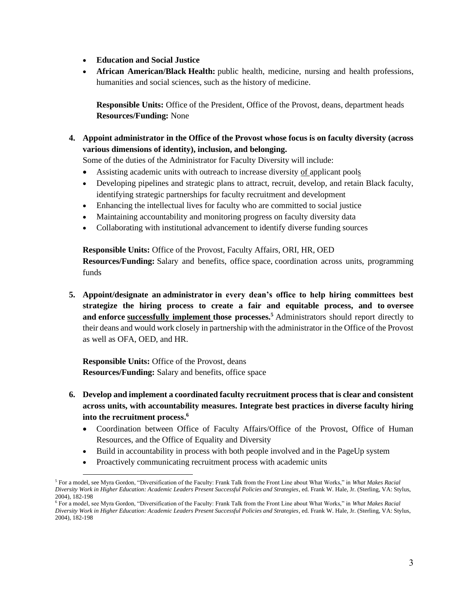- **Education and Social Justice**
- **African American/Black Health:** public health, medicine, nursing and health professions, humanities and social sciences, such as the history of medicine.

**Responsible Units:** Office of the President, Office of the Provost, deans, department heads **Resources/Funding:** None

**4. Appoint administrator in the Office of the Provost whose focus is on faculty diversity (across various dimensions of identity), inclusion, and belonging.**

Some of the duties of the Administrator for Faculty Diversity will include:

- Assisting academic units with outreach to increase diversity of applicant pools
- Developing pipelines and strategic plans to attract, recruit, develop, and retain Black faculty, identifying strategic partnerships for faculty recruitment and development
- Enhancing the intellectual lives for faculty who are committed to social justice
- Maintaining accountability and monitoring progress on faculty diversity data
- Collaborating with institutional advancement to identify diverse funding sources

**Responsible Units:** Office of the Provost, Faculty Affairs, ORI, HR, OED **Resources/Funding:** Salary and benefits, office space, coordination across units, programming funds

**5. Appoint/designate an administrator in every dean's office to help hiring committees best strategize the hiring process to create a fair and equitable process, and to oversee and enforce successfully implement those processes. <sup>5</sup>** Administrators should report directly to their deans and would work closely in partnership with the administrator in the Office of the Provost as well as OFA, OED, and HR.

**Responsible Units:** Office of the Provost, deans **Resources/Funding:** Salary and benefits, office space

- **6. Develop and implement a coordinated faculty recruitment process that is clear and consistent across units, with accountability measures. Integrate best practices in diverse faculty hiring into the recruitment process. 6**
	- Coordination between Office of Faculty Affairs/Office of the Provost, Office of Human Resources, and the Office of Equality and Diversity
	- Build in accountability in process with both people involved and in the PageUp system
	- Proactively communicating recruitment process with academic units

<sup>5</sup> For a model, see Myra Gordon, "Diversification of the Faculty: Frank Talk from the Front Line about What Works," in *What Makes Racial Diversity Work in Higher Education: Academic Leaders Present Successful Policies and Strategies*, ed. Frank W. Hale, Jr. (Sterling, VA: Stylus, 2004), 182-198

<sup>6</sup> For a model, see Myra Gordon, "Diversification of the Faculty: Frank Talk from the Front Line about What Works," in *What Makes Racial Diversity Work in Higher Education: Academic Leaders Present Successful Policies and Strategies*, ed. Frank W. Hale, Jr. (Sterling, VA: Stylus, 2004), 182-198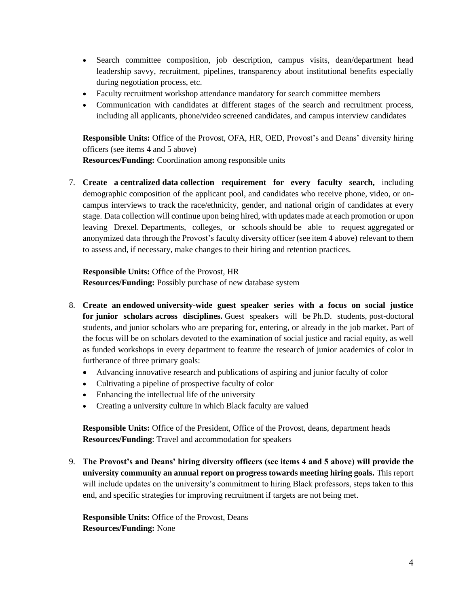- Search committee composition, job description, campus visits, dean/department head leadership savvy, recruitment, pipelines, transparency about institutional benefits especially during negotiation process, etc.
- Faculty recruitment workshop attendance mandatory for search committee members
- Communication with candidates at different stages of the search and recruitment process, including all applicants, phone/video screened candidates, and campus interview candidates

**Responsible Units:** Office of the Provost, OFA, HR, OED, Provost's and Deans' diversity hiring officers (see items 4 and 5 above)

**Resources/Funding:** Coordination among responsible units

7. **Create a centralized data collection requirement for every faculty search,** including demographic composition of the applicant pool, and candidates who receive phone, video, or oncampus interviews to track the race/ethnicity, gender, and national origin of candidates at every stage. Data collection will continue upon being hired, with updates made at each promotion or upon leaving Drexel. Departments, colleges, or schools should be able to request aggregated or anonymized data through the Provost's faculty diversity officer (see item 4 above) relevant to them to assess and, if necessary, make changes to their hiring and retention practices.

**Responsible Units:** Office of the Provost, HR **Resources/Funding:** Possibly purchase of new database system

- 8. **Create an endowed university-wide guest speaker series with a focus on social justice for junior scholars across disciplines.** Guest speakers will be Ph.D. students, post-doctoral students, and junior scholars who are preparing for, entering, or already in the job market. Part of the focus will be on scholars devoted to the examination of social justice and racial equity, as well as funded workshops in every department to feature the research of junior academics of color in furtherance of three primary goals:
	- Advancing innovative research and publications of aspiring and junior faculty of color
	- Cultivating a pipeline of prospective faculty of color
	- Enhancing the intellectual life of the university
	- Creating a university culture in which Black faculty are valued

**Responsible Units:** Office of the President, Office of the Provost, deans, department heads **Resources/Funding**: Travel and accommodation for speakers

9. **The Provost's and Deans' hiring diversity officers (see items 4 and 5 above) will provide the university community an annual report on progress towards meeting hiring goals.** This report will include updates on the university's commitment to hiring Black professors, steps taken to this end, and specific strategies for improving recruitment if targets are not being met.

**Responsible Units:** Office of the Provost, Deans **Resources/Funding:** None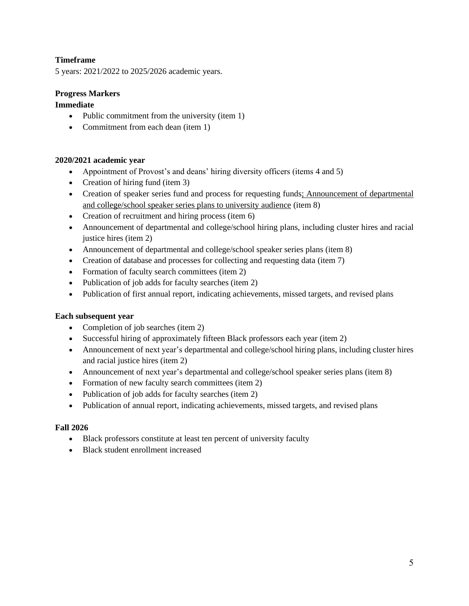# **Timeframe**

5 years: 2021/2022 to 2025/2026 academic years.

# **Progress Markers**

# **Immediate**

- Public commitment from the university (item 1)
- Commitment from each dean (item 1)

# **2020/2021 academic year**

- Appointment of Provost's and deans' hiring diversity officers (items 4 and 5)
- Creation of hiring fund (item 3)
- Creation of speaker series fund and process for requesting funds; Announcement of departmental and college/school speaker series plans to university audience (item 8)
- Creation of recruitment and hiring process (item 6)
- Announcement of departmental and college/school hiring plans, including cluster hires and racial justice hires (item 2)
- Announcement of departmental and college/school speaker series plans (item 8)
- Creation of database and processes for collecting and requesting data (item 7)
- Formation of faculty search committees (item 2)
- Publication of job adds for faculty searches (item 2)
- Publication of first annual report, indicating achievements, missed targets, and revised plans

#### **Each subsequent year**

- Completion of job searches (item 2)
- Successful hiring of approximately fifteen Black professors each year (item 2)
- Announcement of next year's departmental and college/school hiring plans, including cluster hires and racial justice hires (item 2)
- Announcement of next year's departmental and college/school speaker series plans (item 8)
- Formation of new faculty search committees (item 2)
- Publication of job adds for faculty searches (item 2)
- Publication of annual report, indicating achievements, missed targets, and revised plans

#### **Fall 2026**

- Black professors constitute at least ten percent of university faculty
- Black student enrollment increased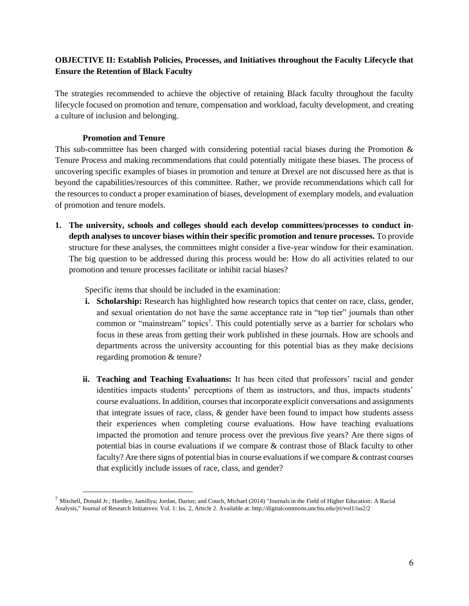# <span id="page-10-0"></span>**OBJECTIVE II: Establish Policies, Processes, and Initiatives throughout the Faculty Lifecycle that Ensure the Retention of Black Faculty**

The strategies recommended to achieve the objective of retaining Black faculty throughout the faculty lifecycle focused on promotion and tenure, compensation and workload, faculty development, and creating a culture of inclusion and belonging.

# **Promotion and Tenure**

<span id="page-10-1"></span>This sub-committee has been charged with considering potential racial biases during the Promotion & Tenure Process and making recommendations that could potentially mitigate these biases. The process of uncovering specific examples of biases in promotion and tenure at Drexel are not discussed here as that is beyond the capabilities/resources of this committee. Rather, we provide recommendations which call for the resources to conduct a proper examination of biases, development of exemplary models, and evaluation of promotion and tenure models.

**1. The university, schools and colleges should each develop committees/processes to conduct indepth analyses to uncover biases within their specific promotion and tenure processes.** To provide structure for these analyses, the committees might consider a five-year window for their examination. The big question to be addressed during this process would be: How do all activities related to our promotion and tenure processes facilitate or inhibit racial biases?

Specific items that should be included in the examination:

- **i. Scholarship:** Research has highlighted how research topics that center on race, class, gender, and sexual orientation do not have the same acceptance rate in "top tier" journals than other common or "mainstream" topics 7 . This could potentially serve as a barrier for scholars who focus in these areas from getting their work published in these journals. How are schools and departments across the university accounting for this potential bias as they make decisions regarding promotion & tenure?
- **ii. Teaching and Teaching Evaluations:** It has been cited that professors' racial and gender identities impacts students' perceptions of them as instructors, and thus, impacts students' course evaluations. In addition, courses that incorporate explicit conversations and assignments that integrate issues of race, class,  $\&$  gender have been found to impact how students assess their experiences when completing course evaluations. How have teaching evaluations impacted the promotion and tenure process over the previous five years? Are there signs of potential bias in course evaluations if we compare & contrast those of Black faculty to other faculty? Are there signs of potential bias in course evaluations if we compare & contrast courses that explicitly include issues of race, class, and gender?

 $^7$  Mitchell, Donald Jr.; Hardley, Jamillya; Jordan, Darius; and Couch, Michael (2014) "Journals in the Field of Higher Education: A Racial Analysis," Journal of Research Initiatives: Vol. 1: Iss. 2, Article 2. Available at: http://digitalcommons.uncfsu.edu/jri/vol1/iss2/2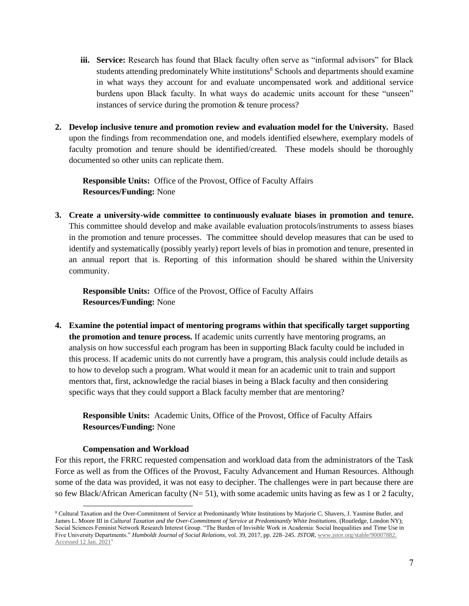- **iii.** Service: Research has found that Black faculty often serve as "informal advisors" for Black students attending predominately White institutions<sup>8</sup> Schools and departments should examine in what ways they account for and evaluate uncompensated work and additional service burdens upon Black faculty. In what ways do academic units account for these "unseen" instances of service during the promotion & tenure process?
- **2. Develop inclusive tenure and promotion review and evaluation model for the University.** Based upon the findings from recommendation one, and models identified elsewhere, exemplary models of faculty promotion and tenure should be identified/created. These models should be thoroughly documented so other units can replicate them.

**Responsible Units:** Office of the Provost, Office of Faculty Affairs **Resources/Funding:** None

**3. Create a university-wide committee to continuously evaluate biases in promotion and tenure.** This committee should develop and make available evaluation protocols/instruments to assess biases in the promotion and tenure processes. The committee should develop measures that can be used to identify and systematically (possibly yearly) report levels of bias in promotion and tenure, presented in an annual report that is. Reporting of this information should be shared within the University community.

**Responsible Units:** Office of the Provost, Office of Faculty Affairs **Resources/Funding:** None

**4. Examine the potential impact of mentoring programs within that specifically target supporting the promotion and tenure process.** If academic units currently have mentoring programs, an analysis on how successful each program has been in supporting Black faculty could be included in this process. If academic units do not currently have a program, this analysis could include details as to how to develop such a program. What would it mean for an academic unit to train and support mentors that, first, acknowledge the racial biases in being a Black faculty and then considering specific ways that they could support a Black faculty member that are mentoring?

**Responsible Units:** Academic Units, Office of the Provost, Office of Faculty Affairs **Resources/Funding:** None

# **Compensation and Workload**

<span id="page-11-0"></span>For this report, the FRRC requested compensation and workload data from the administrators of the Task Force as well as from the Offices of the Provost, Faculty Advancement and Human Resources. Although some of the data was provided, it was not easy to decipher. The challenges were in part because there are so few Black/African American faculty ( $N=51$ ), with some academic units having as few as 1 or 2 faculty,

<sup>&</sup>lt;sup>8</sup> Cultural Taxation and the Over-Commitment of Service at Predominantly White Institutions by Marjorie C. Shavers, J. Yasmine Butler, and James L. Moore III in *Cultural Taxation and the Over-Commitment of Service at Predominantly White Institutions.* (Routledge, London NY); Social Sciences Feminist Network Research Interest Group. "The Burden of Invisible Work in Academia: Social Inequalities and Time Use in Five University Departments." *Humboldt Journal of Social Relations*, vol. 39, 2017, pp. 228–245. *JSTOR*[, www.jstor.org/stable/90007882.](http://www.jstor.org/stable/90007882.%20Accessed%2012%20Jan.%202021)  [Accessed 12 Jan. 2021'](http://www.jstor.org/stable/90007882.%20Accessed%2012%20Jan.%202021)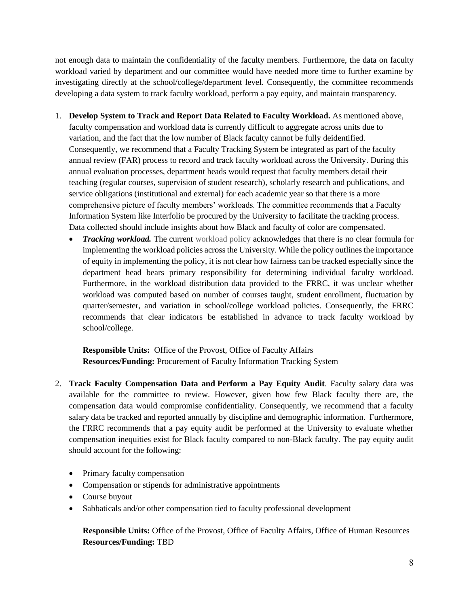not enough data to maintain the confidentiality of the faculty members. Furthermore, the data on faculty workload varied by department and our committee would have needed more time to further examine by investigating directly at the school/college/department level. Consequently, the committee recommends developing a data system to track faculty workload, perform a pay equity, and maintain transparency.

- 1. **Develop System to Track and Report Data Related to Faculty Workload.** As mentioned above, faculty compensation and workload data is currently difficult to aggregate across units due to variation, and the fact that the low number of Black faculty cannot be fully deidentified. Consequently, we recommend that a Faculty Tracking System be integrated as part of the faculty annual review (FAR) process to record and track faculty workload across the University. During this annual evaluation processes, department heads would request that faculty members detail their teaching (regular courses, supervision of student research), scholarly research and publications, and service obligations (institutional and external) for each academic year so that there is a more comprehensive picture of faculty members' workloads. The committee recommends that a Faculty Information System like Interfolio be procured by the University to facilitate the tracking process. Data collected should include insights about how Black and faculty of color are compensated.
	- *Tracking workload.* The current [workload policy](https://drexel.edu/provost/policies/faculty_workload/) acknowledges that there is no clear formula for implementing the workload policies across the University. While the policy outlines the importance of equity in implementing the policy, it is not clear how fairness can be tracked especially since the department head bears primary responsibility for determining individual faculty workload. Furthermore, in the workload distribution data provided to the FRRC, it was unclear whether workload was computed based on number of courses taught, student enrollment, fluctuation by quarter/semester, and variation in school/college workload policies. Consequently, the FRRC recommends that clear indicators be established in advance to track faculty workload by school/college.

**Responsible Units:** Office of the Provost, Office of Faculty Affairs **Resources/Funding:** Procurement of Faculty Information Tracking System

- 2. **Track Faculty Compensation Data and Perform a Pay Equity Audit**. Faculty salary data was available for the committee to review. However, given how few Black faculty there are, the compensation data would compromise confidentiality. Consequently, we recommend that a faculty salary data be tracked and reported annually by discipline and demographic information. Furthermore, the FRRC recommends that a pay equity audit be performed at the University to evaluate whether compensation inequities exist for Black faculty compared to non-Black faculty. The pay equity audit should account for the following:
	- Primary faculty compensation
	- Compensation or stipends for administrative appointments
	- Course buyout
	- Sabbaticals and/or other compensation tied to faculty professional development

**Responsible Units:** Office of the Provost, Office of Faculty Affairs, Office of Human Resources **Resources/Funding:** TBD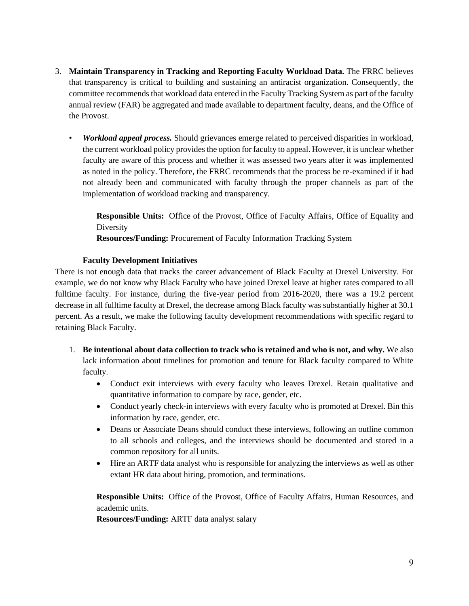- 3. **Maintain Transparency in Tracking and Reporting Faculty Workload Data.** The FRRC believes that transparency is critical to building and sustaining an antiracist organization. Consequently, the committee recommends that workload data entered in the Faculty Tracking System as part of the faculty annual review (FAR) be aggregated and made available to department faculty, deans, and the Office of the Provost.
	- *Workload appeal process.* Should grievances emerge related to perceived disparities in workload, the current workload policy provides the option for faculty to appeal. However, it is unclear whether faculty are aware of this process and whether it was assessed two years after it was implemented as noted in the policy. Therefore, the FRRC recommends that the process be re-examined if it had not already been and communicated with faculty through the proper channels as part of the implementation of workload tracking and transparency.

**Responsible Units:** Office of the Provost, Office of Faculty Affairs, Office of Equality and Diversity

**Resources/Funding:** Procurement of Faculty Information Tracking System

# **Faculty Development Initiatives**

<span id="page-13-0"></span>There is not enough data that tracks the career advancement of Black Faculty at Drexel University. For example, we do not know why Black Faculty who have joined Drexel leave at higher rates compared to all fulltime faculty. For instance, during the five-year period from 2016-2020, there was a 19.2 percent decrease in all fulltime faculty at Drexel, the decrease among Black faculty was substantially higher at 30.1 percent. As a result, we make the following faculty development recommendations with specific regard to retaining Black Faculty.

- 1. **Be intentional about data collection to track who is retained and who is not, and why.** We also lack information about timelines for promotion and tenure for Black faculty compared to White faculty.
	- Conduct exit interviews with every faculty who leaves Drexel. Retain qualitative and quantitative information to compare by race, gender, etc.
	- Conduct yearly check-in interviews with every faculty who is promoted at Drexel. Bin this information by race, gender, etc.
	- Deans or Associate Deans should conduct these interviews, following an outline common to all schools and colleges, and the interviews should be documented and stored in a common repository for all units.
	- Hire an ARTF data analyst who is responsible for analyzing the interviews as well as other extant HR data about hiring, promotion, and terminations.

**Responsible Units:** Office of the Provost, Office of Faculty Affairs, Human Resources, and academic units.

**Resources/Funding:** ARTF data analyst salary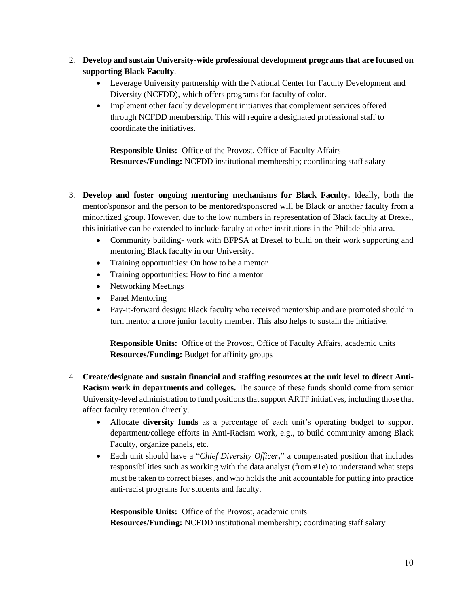- 2. **Develop and sustain University-wide professional development programs that are focused on supporting Black Faculty**.
	- Leverage University partnership with the National Center for Faculty Development and Diversity (NCFDD), which offers programs for faculty of color.
	- Implement other faculty development initiatives that complement services offered through NCFDD membership. This will require a designated professional staff to coordinate the initiatives.

**Responsible Units:** Office of the Provost, Office of Faculty Affairs **Resources/Funding:** NCFDD institutional membership; coordinating staff salary

- 3. **Develop and foster ongoing mentoring mechanisms for Black Faculty.** Ideally, both the mentor/sponsor and the person to be mentored/sponsored will be Black or another faculty from a minoritized group. However, due to the low numbers in representation of Black faculty at Drexel, this initiative can be extended to include faculty at other institutions in the Philadelphia area.
	- Community building- work with BFPSA at Drexel to build on their work supporting and mentoring Black faculty in our University.
	- Training opportunities: On how to be a mentor
	- Training opportunities: How to find a mentor
	- Networking Meetings
	- Panel Mentoring
	- Pay-it-forward design: Black faculty who received mentorship and are promoted should in turn mentor a more junior faculty member. This also helps to sustain the initiative.

**Responsible Units:** Office of the Provost, Office of Faculty Affairs, academic units **Resources/Funding:** Budget for affinity groups

- 4. **Create/designate and sustain financial and staffing resources at the unit level to direct Anti-Racism work in departments and colleges.** The source of these funds should come from senior University-level administration to fund positions that support ARTF initiatives, including those that affect faculty retention directly.
	- Allocate **diversity funds** as a percentage of each unit's operating budget to support department/college efforts in Anti-Racism work, e.g., to build community among Black Faculty, organize panels, etc.
	- Each unit should have a "*Chief Diversity Officer***,"** a compensated position that includes responsibilities such as working with the data analyst (from #1e) to understand what steps must be taken to correct biases, and who holds the unit accountable for putting into practice anti-racist programs for students and faculty.

**Responsible Units:** Office of the Provost, academic units **Resources/Funding:** NCFDD institutional membership; coordinating staff salary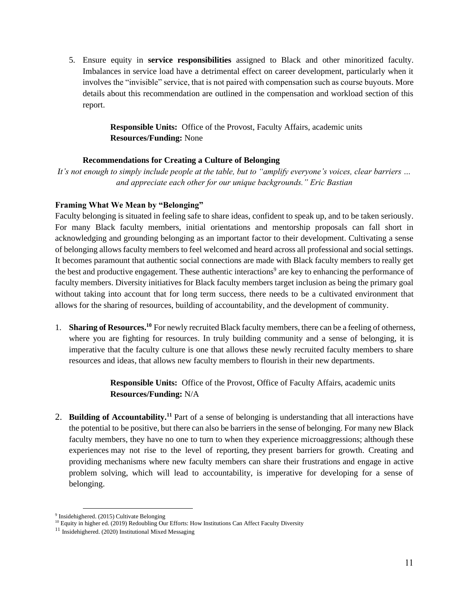5. Ensure equity in **service responsibilities** assigned to Black and other minoritized faculty. Imbalances in service load have a detrimental effect on career development, particularly when it involves the "invisible" service, that is not paired with compensation such as course buyouts. More details about this recommendation are outlined in the compensation and workload section of this report.

> **Responsible Units:** Office of the Provost, Faculty Affairs, academic units **Resources/Funding:** None

# **Recommendations for Creating a Culture of Belonging**

<span id="page-15-0"></span>*It's not enough to simply include people at the table, but to "amplify everyone's voices, clear barriers … and appreciate each other for our unique backgrounds." Eric Bastian*

# **Framing What We Mean by "Belonging"**

Faculty belonging is situated in feeling safe to share ideas, confident to speak up, and to be taken seriously. For many Black faculty members, initial orientations and mentorship proposals can fall short in acknowledging and grounding belonging as an important factor to their development. Cultivating a sense of belonging allows faculty members to feel welcomed and heard across all professional and social settings. It becomes paramount that authentic social connections are made with Black faculty members to really get the best and productive engagement. These authentic interactions<sup>9</sup> are key to enhancing the performance of faculty members. Diversity initiatives for Black faculty members target inclusion as being the primary goal without taking into account that for long term success, there needs to be a cultivated environment that allows for the sharing of resources, building of accountability, and the development of community.

1. **Sharing of Resources.<sup>10</sup>** For newly recruited Black faculty members, there can be a feeling of otherness, where you are fighting for resources. In truly building community and a sense of belonging, it is imperative that the faculty culture is one that allows these newly recruited faculty members to share resources and ideas, that allows new faculty members to flourish in their new departments.

> **Responsible Units:** Office of the Provost, Office of Faculty Affairs, academic units **Resources/Funding:** N/A

2. Building of Accountability.<sup>11</sup> Part of a sense of belonging is understanding that all interactions have the potential to be positive, but there can also be barriers in the sense of belonging. For many new Black faculty members, they have no one to turn to when they experience microaggressions; although these experiences may not rise to the level of reporting, they present barriers for growth. Creating and providing mechanisms where new faculty members can share their frustrations and engage in active problem solving, which will lead to accountability, is imperative for developing for a sense of belonging.

<sup>&</sup>lt;sup>9</sup> Insidehighered. (2015) Cultivate Belonging

<sup>&</sup>lt;sup>10</sup> Equity in higher ed. (2019) Redoubling Our Efforts: How Institutions Can Affect Faculty Diversity

<sup>&</sup>lt;sup>11</sup> Insidehighered. (2020) Institutional Mixed Messaging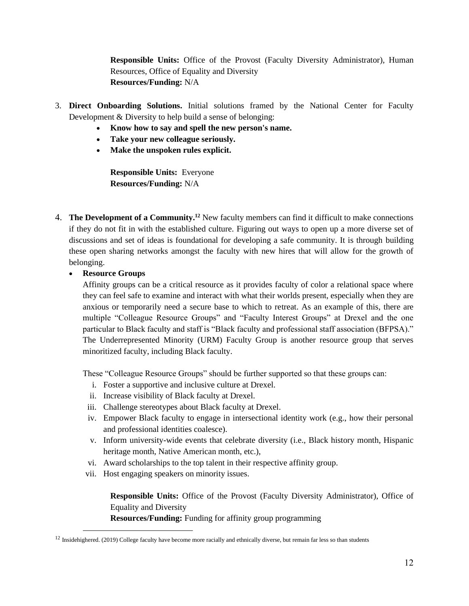**Responsible Units:** Office of the Provost (Faculty Diversity Administrator), Human Resources, Office of Equality and Diversity **Resources/Funding:** N/A

- 3. **Direct Onboarding Solutions.** Initial solutions framed by the National Center for Faculty Development & Diversity to help build a sense of belonging:
	- **Know how to say and spell the new person's name.**
	- **Take your new colleague seriously.**
	- **Make the unspoken rules explicit.**

**Responsible Units:** Everyone **Resources/Funding:** N/A

- 4. **The Development of a Community. <sup>12</sup>** New faculty members can find it difficult to make connections if they do not fit in with the established culture. Figuring out ways to open up a more diverse set of discussions and set of ideas is foundational for developing a safe community. It is through building these open sharing networks amongst the faculty with new hires that will allow for the growth of belonging.
	- **Resource Groups**

Affinity groups can be a critical resource as it provides faculty of color a relational space where they can feel safe to examine and interact with what their worlds present, especially when they are anxious or temporarily need a secure base to which to retreat. As an example of this, there are multiple "Colleague Resource Groups" and "Faculty Interest Groups" at Drexel and the one particular to Black faculty and staff is "Black faculty and professional staff association (BFPSA)." The Underrepresented Minority (URM) Faculty Group is another resource group that serves minoritized faculty, including Black faculty.

These "Colleague Resource Groups" should be further supported so that these groups can:

- i. Foster a supportive and inclusive culture at Drexel.
- ii. Increase visibility of Black faculty at Drexel.
- iii. Challenge stereotypes about Black faculty at Drexel.
- iv. Empower Black faculty to engage in intersectional identity work (e.g., how their personal and professional identities coalesce).
- v. Inform university-wide events that celebrate diversity (i.e., Black history month, Hispanic heritage month, Native American month, etc.),
- vi. Award scholarships to the top talent in their respective affinity group.
- vii. Host engaging speakers on minority issues.

**Responsible Units:** Office of the Provost (Faculty Diversity Administrator), Office of Equality and Diversity

**Resources/Funding:** Funding for affinity group programming

<sup>&</sup>lt;sup>12</sup> Insidehighered. (2019) College faculty have become more racially and ethnically diverse, but remain far less so than students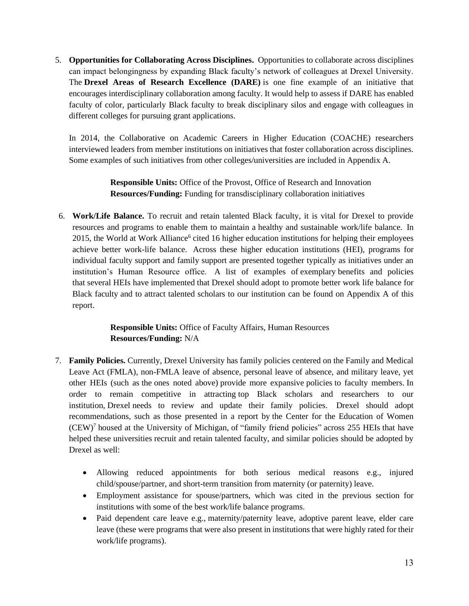5. **Opportunities for Collaborating Across Disciplines.** Opportunities to collaborate across disciplines can impact belongingness by expanding Black faculty's network of colleagues at Drexel University. The **Drexel Areas of Research Excellence (DARE)** is one fine example of an initiative that encourages interdisciplinary collaboration among faculty. It would help to assess if DARE has enabled faculty of color, particularly Black faculty to break disciplinary silos and engage with colleagues in different colleges for pursuing grant applications.

In 2014, the Collaborative on Academic Careers in Higher Education (COACHE) researchers interviewed leaders from member institutions on initiatives that foster collaboration across disciplines. Some examples of such initiatives from other colleges/universities are included in Appendix A.

> **Responsible Units:** Office of the Provost, Office of Research and Innovation **Resources/Funding:** Funding for transdisciplinary collaboration initiatives

6. **Work/Life Balance.** To recruit and retain talented Black faculty, it is vital for Drexel to provide resources and programs to enable them to maintain a healthy and sustainable work/life balance. In 2015, the World at Work Alliance<sup>6</sup> cited 16 higher education institutions for helping their employees achieve better work-life balance. Across these higher education institutions (HEI), programs for individual faculty support and family support are presented together typically as initiatives under an institution's Human Resource office. A list of examples of exemplary benefits and policies that several HEIs have implemented that Drexel should adopt to promote better work life balance for Black faculty and to attract talented scholars to our institution can be found on Appendix A of this report.

# **Responsible Units:** Office of Faculty Affairs, Human Resources **Resources/Funding:** N/A

- 7. **Family Policies.** Currently, Drexel University has family policies centered on the Family and Medical Leave Act (FMLA), non-FMLA leave of absence, personal leave of absence, and military leave, yet other HEIs (such as the ones noted above) provide more expansive policies to faculty members. In order to remain competitive in attracting top Black scholars and researchers to our institution, Drexel needs to review and update their family policies. Drexel should adopt recommendations, such as those presented in a report by the Center for the Education of Women  $(CEW)^7$  housed at the University of Michigan, of "family friend policies" across 255 HEIs that have helped these universities recruit and retain talented faculty, and similar policies should be adopted by Drexel as well:
	- Allowing reduced appointments for both serious medical reasons e.g., injured child/spouse/partner, and short-term transition from maternity (or paternity) leave.
	- Employment assistance for spouse/partners, which was cited in the previous section for institutions with some of the best work/life balance programs.
	- Paid dependent care leave e.g., maternity/paternity leave, adoptive parent leave, elder care leave (these were programs that were also present in institutions that were highly rated for their work/life programs).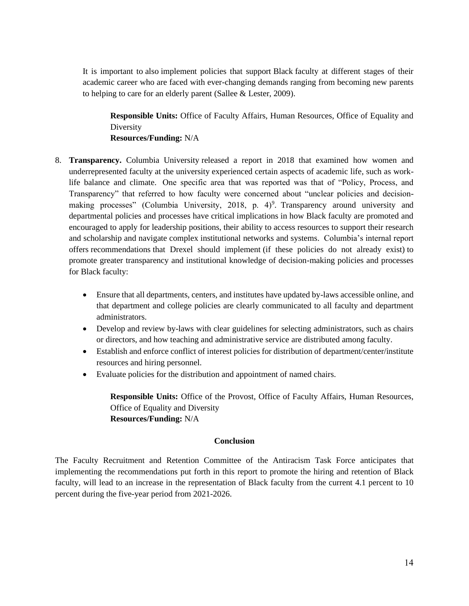It is important to also implement policies that support Black faculty at different stages of their academic career who are faced with ever-changing demands ranging from becoming new parents to helping to care for an elderly parent (Sallee & Lester, 2009).

**Responsible Units:** Office of Faculty Affairs, Human Resources, Office of Equality and Diversity **Resources/Funding:** N/A

- 8. **Transparency.** Columbia University released a report in 2018 that examined how women and underrepresented faculty at the university experienced certain aspects of academic life, such as worklife balance and climate. One specific area that was reported was that of "Policy, Process, and Transparency" that referred to how faculty were concerned about "unclear policies and decisionmaking processes" (Columbia University, 2018, p. 4)<sup>9</sup>. Transparency around university and departmental policies and processes have critical implications in how Black faculty are promoted and encouraged to apply for leadership positions, their ability to access resources to support their research and scholarship and navigate complex institutional networks and systems. Columbia's internal report offers recommendations that Drexel should implement (if these policies do not already exist) to promote greater transparency and institutional knowledge of decision-making policies and processes for Black faculty:
	- Ensure that all departments, centers, and institutes have updated by-laws accessible online, and that department and college policies are clearly communicated to all faculty and department administrators.
	- Develop and review by-laws with clear guidelines for selecting administrators, such as chairs or directors, and how teaching and administrative service are distributed among faculty.
	- Establish and enforce conflict of interest policies for distribution of department/center/institute resources and hiring personnel.
	- Evaluate policies for the distribution and appointment of named chairs.

**Responsible Units:** Office of the Provost, Office of Faculty Affairs, Human Resources, Office of Equality and Diversity **Resources/Funding:** N/A

#### **Conclusion**

<span id="page-18-0"></span>The Faculty Recruitment and Retention Committee of the Antiracism Task Force anticipates that implementing the recommendations put forth in this report to promote the hiring and retention of Black faculty, will lead to an increase in the representation of Black faculty from the current 4.1 percent to 10 percent during the five-year period from 2021-2026.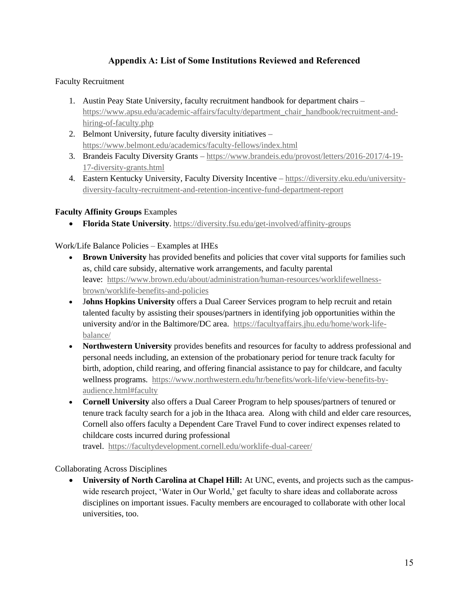# **Appendix A: List of Some Institutions Reviewed and Referenced**

# <span id="page-19-0"></span>Faculty Recruitment

- 1. Austin Peay State University, faculty recruitment handbook for department chairs [https://www.apsu.edu/academic-affairs/faculty/department\\_chair\\_handbook/recruitment-and](https://www.apsu.edu/academic-affairs/faculty/department_chair_handbook/recruitment-and-hiring-of-faculty.php)[hiring-of-faculty.php](https://www.apsu.edu/academic-affairs/faculty/department_chair_handbook/recruitment-and-hiring-of-faculty.php)
- 2. Belmont University, future faculty diversity initiatives <https://www.belmont.edu/academics/faculty-fellows/index.html>
- 3. Brandeis Faculty Diversity Grants [https://www.brandeis.edu/provost/letters/2016-2017/4-19-](https://www.brandeis.edu/provost/letters/2016-2017/4-19-17-diversity-grants.html) [17-diversity-grants.html](https://www.brandeis.edu/provost/letters/2016-2017/4-19-17-diversity-grants.html)
- 4. Eastern Kentucky University, Faculty Diversity Incentive [https://diversity.eku.edu/university](https://diversity.eku.edu/university-diversity-faculty-recruitment-and-retention-incentive-fund-department-report)[diversity-faculty-recruitment-and-retention-incentive-fund-department-report](https://diversity.eku.edu/university-diversity-faculty-recruitment-and-retention-incentive-fund-department-report)

# **Faculty Affinity Groups** Examples

• **Florida State University**.<https://diversity.fsu.edu/get-involved/affinity-groups>

# Work/Life Balance Policies – Examples at IHEs

- **Brown University** has provided benefits and policies that cover vital supports for families such as, child care subsidy, alternative work arrangements, and faculty parental leave: [https://www.brown.edu/about/administration/human-resources/worklifewellness](https://www.brown.edu/about/administration/human-resources/worklifewellness-brown/worklife-benefits-and-policies)[brown/worklife-benefits-and-policies](https://www.brown.edu/about/administration/human-resources/worklifewellness-brown/worklife-benefits-and-policies)
- J**ohns Hopkins University** offers a Dual Career Services program to help recruit and retain talented faculty by assisting their spouses/partners in identifying job opportunities within the university and/or in the Baltimore/DC area. [https://facultyaffairs.jhu.edu/home/work-life](https://facultyaffairs.jhu.edu/home/work-life-balance/)[balance/](https://facultyaffairs.jhu.edu/home/work-life-balance/)
- **Northwestern University** provides benefits and resources for faculty to address professional and personal needs including, an extension of the probationary period for tenure track faculty for birth, adoption, child rearing, and offering financial assistance to pay for childcare, and faculty wellness programs. [https://www.northwestern.edu/hr/benefits/work-life/view-benefits-by](https://www.northwestern.edu/hr/benefits/work-life/view-benefits-by-audience.html#faculty)[audience.html#faculty](https://www.northwestern.edu/hr/benefits/work-life/view-benefits-by-audience.html#faculty)
- **Cornell University** also offers a Dual Career Program to help spouses/partners of tenured or tenure track faculty search for a job in the Ithaca area. Along with child and elder care resources, Cornell also offers faculty a Dependent Care Travel Fund to cover indirect expenses related to childcare costs incurred during professional

travel. <https://facultydevelopment.cornell.edu/worklife-dual-career/>

Collaborating Across Disciplines

• **University of North Carolina at Chapel Hill:** At UNC, events, and projects such as the campuswide research project, 'Water in Our World,' get faculty to share ideas and collaborate across disciplines on important issues. Faculty members are encouraged to collaborate with other local universities, too.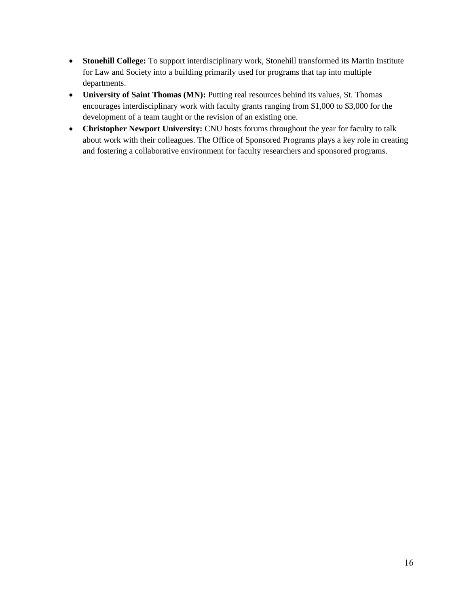- **Stonehill College:** To support interdisciplinary work, Stonehill transformed its Martin Institute for Law and Society into a building primarily used for programs that tap into multiple departments.
- **University of Saint Thomas (MN):** Putting real resources behind its values, St. Thomas encourages interdisciplinary work with faculty grants ranging from \$1,000 to \$3,000 for the development of a team taught or the revision of an existing one.
- **Christopher Newport University:** CNU hosts forums throughout the year for faculty to talk about work with their colleagues. The Office of Sponsored Programs plays a key role in creating and fostering a collaborative environment for faculty researchers and sponsored programs.